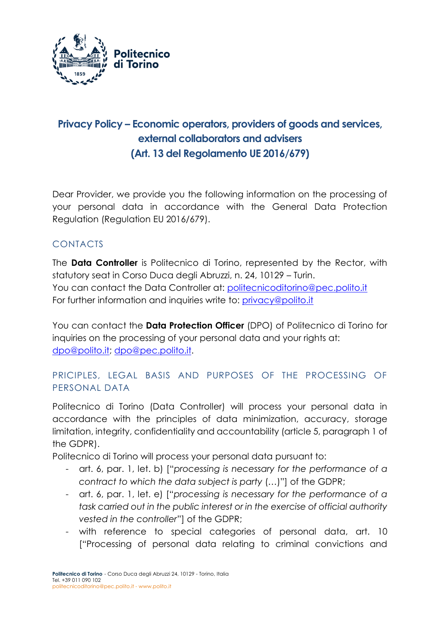

# **Privacy Policy – Economic operators, providers of goods and services, external collaborators and advisers (Art. 13 del Regolamento UE 2016/679)**

Dear Provider, we provide you the following information on the processing of your personal data in accordance with the General Data Protection Regulation (Regulation EU 2016/679).

## CONTACTS

The **Data Controller** is Politecnico di Torino, represented by the Rector, with statutory seat in Corso Duca degli Abruzzi, n. 24, 10129 – Turin. You can contact the Data Controller at: [politecnicoditorino@pec.polito.it](mailto:politecnicoditorino@pec.polito.it) For further information and inquiries write to: *privacy@polito.it* 

You can contact the **Data Protection Officer** (DPO) of Politecnico di Torino for inquiries on the processing of your personal data and your rights at: [dpo@polito.it;](mailto:dpo@polito.it) [dpo@pec.polito.it.](mailto:dpo@pec.polito.it)

## PRICIPLES, LEGAL BASIS AND PURPOSES OF THE PROCESSING OF PERSONAL DATA

Politecnico di Torino (Data Controller) will process your personal data in accordance with the principles of data minimization, accuracy, storage limitation, integrity, confidentiality and accountability (article 5, paragraph 1 of the GDPR).

Politecnico di Torino will process your personal data pursuant to:

- art. 6, par. 1, let. b) ["*processing is necessary for the performance of a contract to which the data subject is party* (…)"] of the GDPR;
- art. 6, par. 1, let. e) ["*processing is necessary for the performance of a task carried out in the public interest or in the exercise of official authority vested in the controller*"] of the GDPR;
- with reference to special categories of personal data, art. 10 ["Processing of personal data relating to criminal convictions and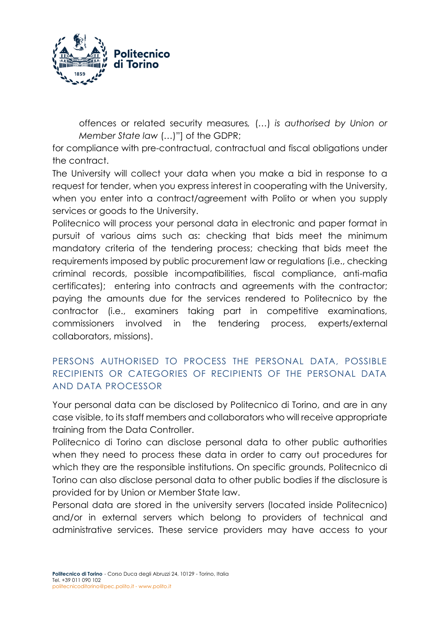

offences or related security measures*,* (…) *is authorised by Union or Member State law* (…)"] of the GDPR;

for compliance with pre-contractual, contractual and fiscal obligations under the contract.

The University will collect your data when you make a bid in response to a request for tender, when you express interest in cooperating with the University, when you enter into a contract/agreement with Polito or when you supply services or goods to the University.

Politecnico will process your personal data in electronic and paper format in pursuit of various aims such as: checking that bids meet the minimum mandatory criteria of the tendering process; checking that bids meet the requirements imposed by public procurement law or regulations (i.e., checking criminal records, possible incompatibilities, fiscal compliance, anti-mafia certificates); entering into contracts and agreements with the contractor; paying the amounts due for the services rendered to Politecnico by the contractor (i.e., examiners taking part in competitive examinations, commissioners involved in the tendering process, experts/external collaborators, missions).

### PERSONS AUTHORISED TO PROCESS THE PERSONAL DATA, POSSIBLE RECIPIENTS OR CATEGORIES OF RECIPIENTS OF THE PERSONAL DATA AND DATA PROCESSOR

Your personal data can be disclosed by Politecnico di Torino, and are in any case visible, to its staff members and collaborators who will receive appropriate training from the Data Controller.

Politecnico di Torino can disclose personal data to other public authorities when they need to process these data in order to carry out procedures for which they are the responsible institutions. On specific grounds, Politecnico di Torino can also disclose personal data to other public bodies if the disclosure is provided for by Union or Member State law.

Personal data are stored in the university servers (located inside Politecnico) and/or in external servers which belong to providers of technical and administrative services. These service providers may have access to your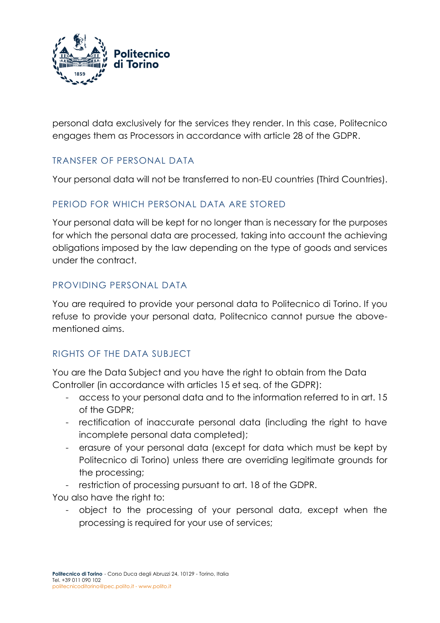

personal data exclusively for the services they render. In this case, Politecnico engages them as Processors in accordance with article 28 of the GDPR.

### TRANSFER OF PERSONAL DATA

Your personal data will not be transferred to non-EU countries (Third Countries).

### PERIOD FOR WHICH PERSONAL DATA ARE STORED

Your personal data will be kept for no longer than is necessary for the purposes for which the personal data are processed, taking into account the achieving obligations imposed by the law depending on the type of goods and services under the contract.

### PROVIDING PERSONAL DATA

You are required to provide your personal data to Politecnico di Torino. If you refuse to provide your personal data, Politecnico cannot pursue the abovementioned aims.

## RIGHTS OF THE DATA SUBJECT

You are the Data Subject and you have the right to obtain from the Data Controller (in accordance with articles 15 et seq. of the GDPR):

- access to your personal data and to the information referred to in art. 15 of the GDPR;
- rectification of inaccurate personal data (including the right to have incomplete personal data completed);
- erasure of your personal data (except for data which must be kept by Politecnico di Torino) unless there are overriding legitimate grounds for the processing;
- restriction of processing pursuant to art. 18 of the GDPR.

You also have the right to:

- object to the processing of your personal data, except when the processing is required for your use of services;